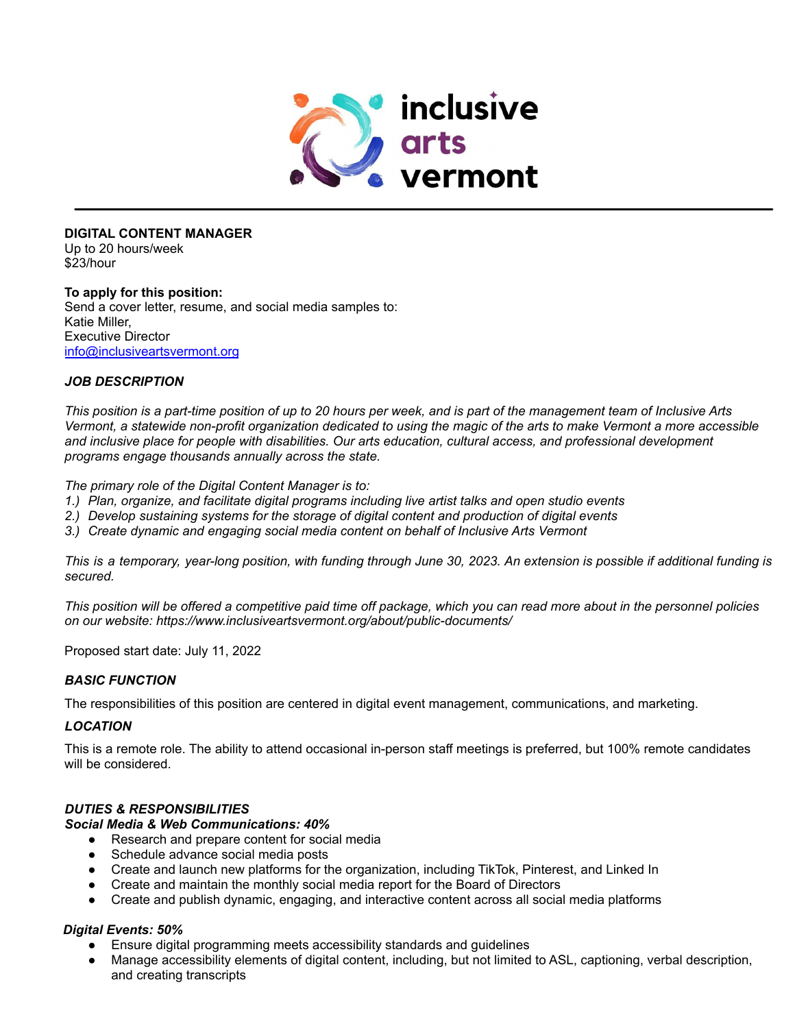

## **DIGITAL CONTENT MANAGER**

Up to 20 hours/week \$23/hour

## **To apply for this position:**

Send a cover letter, resume, and social media samples to: Katie Miller, Executive Director [info@inclusiveartsvermont.org](mailto:info@inclusiveartsvermont.org)

## *JOB DESCRIPTION*

This position is a part-time position of up to 20 hours per week, and is part of the management team of Inclusive Arts Vermont, a statewide non-profit organization dedicated to using the magic of the arts to make Vermont a more accessible *and inclusive place for people with disabilities. Our arts education, cultural access, and professional development programs engage thousands annually across the state.*

*The primary role of the Digital Content Manager is to:*

- *1.) Plan, organize, and facilitate digital programs including live artist talks and open studio events*
- *2.) Develop sustaining systems for the storage of digital content and production of digital events*
- *3.) Create dynamic and engaging social media content on behalf of Inclusive Arts Vermont*

This is a temporary, year-long position, with funding through June 30, 2023. An extension is possible if additional funding is *secured.*

This position will be offered a competitive paid time off package, which you can read more about in the personnel policies *on our website: https:/[/www.inclusiveartsvermont.org/about/public-documents/](http://www.inclusiveartsvermont.org/about/public-documents/)*

Proposed start date: July 11, 2022

## *BASIC FUNCTION*

The responsibilities of this position are centered in digital event management, communications, and marketing.

## *LOCATION*

This is a remote role. The ability to attend occasional in-person staff meetings is preferred, but 100% remote candidates will be considered.

## *DUTIES & RESPONSIBILITIES*

## *Social Media & Web Communications: 40%*

- Research and prepare content for social media
- Schedule advance social media posts
- Create and launch new platforms for the organization, including TikTok, Pinterest, and Linked In
- Create and maintain the monthly social media report for the Board of Directors
- Create and publish dynamic, engaging, and interactive content across all social media platforms

# *Digital Events: 50%*

- Ensure digital programming meets accessibility standards and guidelines
- Manage accessibility elements of digital content, including, but not limited to ASL, captioning, verbal description, and creating transcripts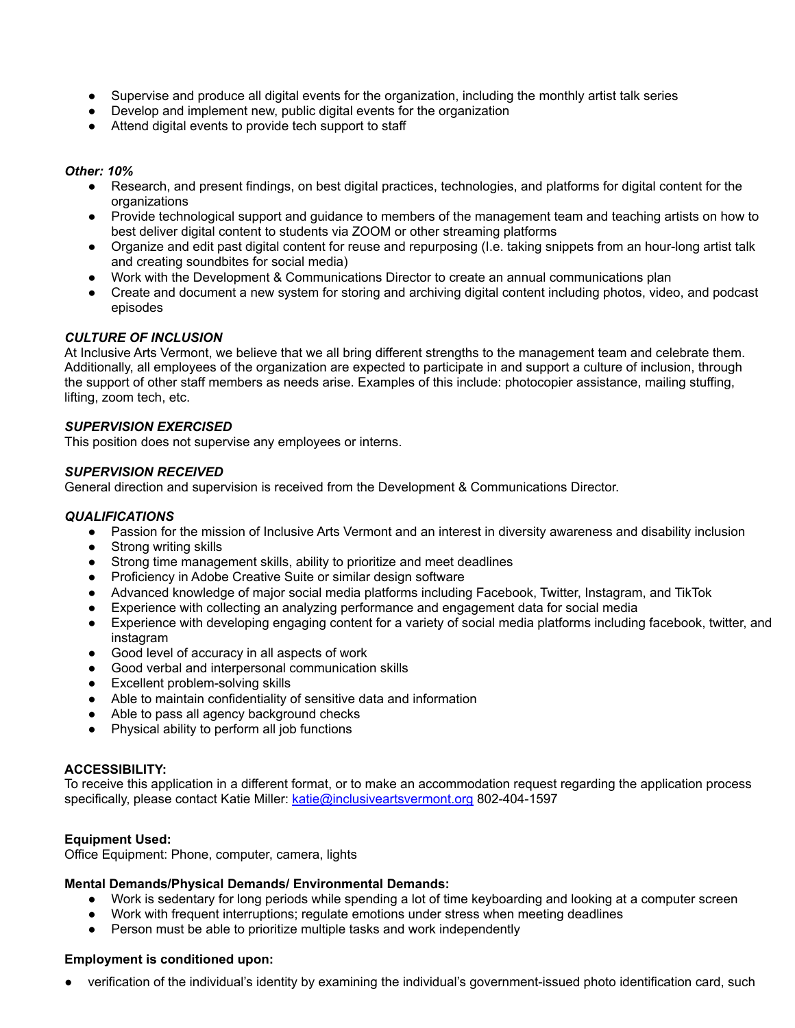- Supervise and produce all digital events for the organization, including the monthly artist talk series
- Develop and implement new, public digital events for the organization
- Attend digital events to provide tech support to staff

## *Other: 10%*

- Research, and present findings, on best digital practices, technologies, and platforms for digital content for the organizations
- Provide technological support and guidance to members of the management team and teaching artists on how to best deliver digital content to students via ZOOM or other streaming platforms
- Organize and edit past digital content for reuse and repurposing (I.e. taking snippets from an hour-long artist talk and creating soundbites for social media)
- Work with the Development & Communications Director to create an annual communications plan
- Create and document a new system for storing and archiving digital content including photos, video, and podcast episodes

# *CULTURE OF INCLUSION*

At Inclusive Arts Vermont, we believe that we all bring different strengths to the management team and celebrate them. Additionally, all employees of the organization are expected to participate in and support a culture of inclusion, through the support of other staff members as needs arise. Examples of this include: photocopier assistance, mailing stuffing, lifting, zoom tech, etc.

## *SUPERVISION EXERCISED*

This position does not supervise any employees or interns.

## *SUPERVISION RECEIVED*

General direction and supervision is received from the Development & Communications Director.

## *QUALIFICATIONS*

- Passion for the mission of Inclusive Arts Vermont and an interest in diversity awareness and disability inclusion
- Strong writing skills
- Strong time management skills, ability to prioritize and meet deadlines
- Proficiency in Adobe Creative Suite or similar design software
- Advanced knowledge of major social media platforms including Facebook, Twitter, Instagram, and TikTok
- Experience with collecting an analyzing performance and engagement data for social media
- Experience with developing engaging content for a variety of social media platforms including facebook, twitter, and instagram
- Good level of accuracy in all aspects of work
- Good verbal and interpersonal communication skills
- Excellent problem-solving skills
- Able to maintain confidentiality of sensitive data and information
- Able to pass all agency background checks
- Physical ability to perform all job functions

## **ACCESSIBILITY:**

To receive this application in a different format, or to make an accommodation request regarding the application process specifically, please contact Katie Miller: [katie@inclusiveartsvermont.org](mailto:katie@inclusiveartsvermont.org) 802-404-1597

# **Equipment Used:**

Office Equipment: Phone, computer, camera, lights

## **Mental Demands/Physical Demands/ Environmental Demands:**

- Work is sedentary for long periods while spending a lot of time keyboarding and looking at a computer screen
- Work with frequent interruptions; regulate emotions under stress when meeting deadlines
- Person must be able to prioritize multiple tasks and work independently

## **Employment is conditioned upon:**

verification of the individual's identity by examining the individual's government-issued photo identification card, such